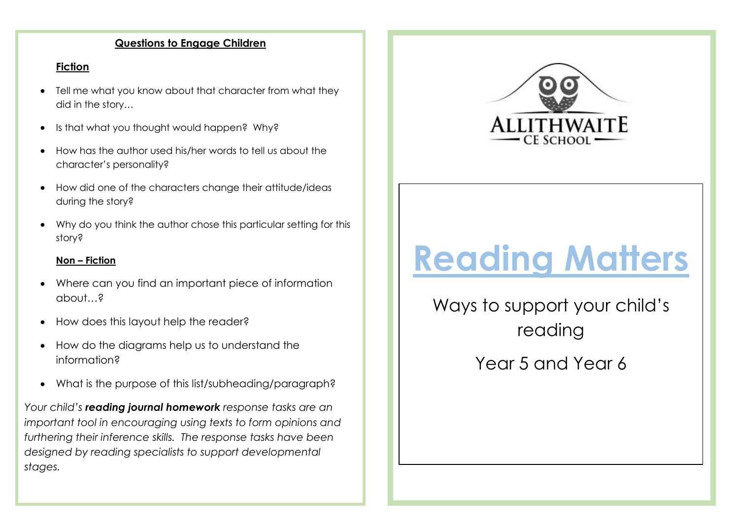# **Questions to Engage Children**

# **Fiction**

- Tell me what you know about that character from what they did in the story…
- Is that what you thought would happen? Why?
- How has the author used his/her words to tell us about the character's personality?
- How did one of the characters change their attitude/ideas during the story?
- Why do you think the author chose this particular setting for this story?

## **Non – Fiction**

- Where can you find an important piece of information about…?
- How does this layout help the reader?
- How do the diagrams help us to understand the information?
- What is the purpose of this list/subheading/paragraph?

*Your child's reading journal homework response tasks are an important tool in encouraging using texts to form opinions and furthering their inference skills. The response tasks have been designed by reading specialists to support developmental stages.* 



# **Reading Matters**

Ways to support your child's reading Year 5 and Year 6

.